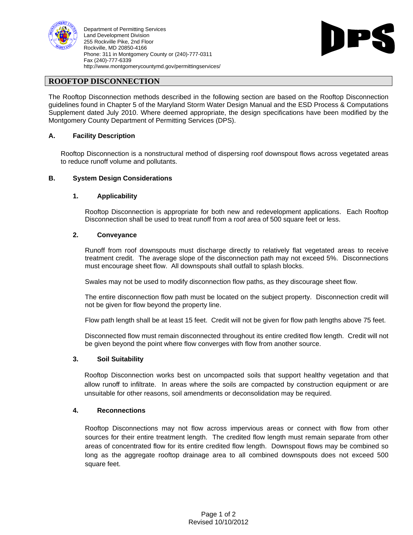

Department of Permitting Services Land Development Division **Example 2018 Contract Contract Contract Contract Contract Contract Contract Contract Contract Contract Contract Contract Contract Contract Contract Contract Contract Contract Contract Contract** 255 Rockville Pike, 2nd Floor<br>Rockville, MD 20850-4166 Rockville, MD 20850-4166 Phone: 311 in Montgomery County or (240)-777-0311 Fax (240)-777-6339 http://www.montgomerycountymd.gov/permittingservices/



# **ROOFTOP DISCONNECTION**

The Rooftop Disconnection methods described in the following section are based on the Rooftop Disconnection guidelines found in Chapter 5 of the Maryland Storm Water Design Manual and the ESD Process & Computations Supplement dated July 2010. Where deemed appropriate, the design specifications have been modified by the Montgomery County Department of Permitting Services (DPS).

# **A. Facility Description**

Rooftop Disconnection is a nonstructural method of dispersing roof downspout flows across vegetated areas to reduce runoff volume and pollutants.

### **B. System Design Considerations**

### **1. Applicability**

Rooftop Disconnection is appropriate for both new and redevelopment applications. Each Rooftop Disconnection shall be used to treat runoff from a roof area of 500 square feet or less.

### **2. Conveyance**

Runoff from roof downspouts must discharge directly to relatively flat vegetated areas to receive treatment credit. The average slope of the disconnection path may not exceed 5%. Disconnections must encourage sheet flow. All downspouts shall outfall to splash blocks.

Swales may not be used to modify disconnection flow paths, as they discourage sheet flow.

The entire disconnection flow path must be located on the subject property. Disconnection credit will not be given for flow beyond the property line.

Flow path length shall be at least 15 feet. Credit will not be given for flow path lengths above 75 feet.

Disconnected flow must remain disconnected throughout its entire credited flow length. Credit will not be given beyond the point where flow converges with flow from another source.

#### **3. Soil Suitability**

Rooftop Disconnection works best on uncompacted soils that support healthy vegetation and that allow runoff to infiltrate. In areas where the soils are compacted by construction equipment or are unsuitable for other reasons, soil amendments or deconsolidation may be required.

#### **4. Reconnections**

Rooftop Disconnections may not flow across impervious areas or connect with flow from other sources for their entire treatment length. The credited flow length must remain separate from other areas of concentrated flow for its entire credited flow length. Downspout flows may be combined so long as the aggregate rooftop drainage area to all combined downspouts does not exceed 500 square feet.